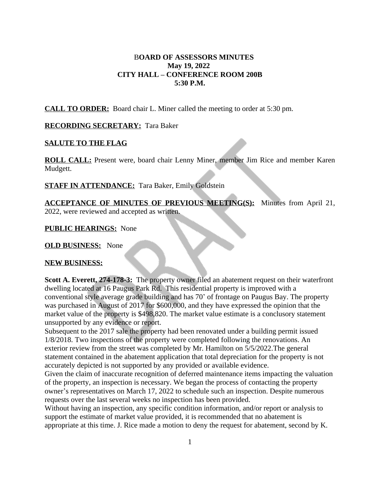## B**OARD OF ASSESSORS MINUTES May 19, 2022 CITY HALL – CONFERENCE ROOM 200B 5:30 P.M.**

**CALL TO ORDER:** Board chair L. Miner called the meeting to order at 5:30 pm.

### **RECORDING SECRETARY:** Tara Baker

### **SALUTE TO THE FLAG**

**ROLL CALL:** Present were, board chair Lenny Miner, member Jim Rice and member Karen Mudgett.

**STAFF IN ATTENDANCE:** Tara Baker, Emily Goldstein

**ACCEPTANCE OF MINUTES OF PREVIOUS MEETING(S):** Minutes from April 21, 2022, were reviewed and accepted as written.

**PUBLIC HEARINGS:** None

**OLD BUSINESS:** None

#### **NEW BUSINESS:**

**Scott A. Everett, 274-178-3:** The property owner filed an abatement request on their waterfront dwelling located at 16 Paugus Park Rd. This residential property is improved with a conventional style average grade building and has 70' of frontage on Paugus Bay. The property was purchased in August of 2017 for \$600,000, and they have expressed the opinion that the market value of the property is \$498,820. The market value estimate is a conclusory statement unsupported by any evidence or report.

Subsequent to the 2017 sale the property had been renovated under a building permit issued 1/8/2018. Two inspections of the property were completed following the renovations. An exterior review from the street was completed by Mr. Hamilton on 5/5/2022.The general statement contained in the abatement application that total depreciation for the property is not accurately depicted is not supported by any provided or available evidence.

Given the claim of inaccurate recognition of deferred maintenance items impacting the valuation of the property, an inspection is necessary. We began the process of contacting the property owner's representatives on March 17, 2022 to schedule such an inspection. Despite numerous requests over the last several weeks no inspection has been provided.

Without having an inspection, any specific condition information, and/or report or analysis to support the estimate of market value provided, it is recommended that no abatement is appropriate at this time. J. Rice made a motion to deny the request for abatement, second by K.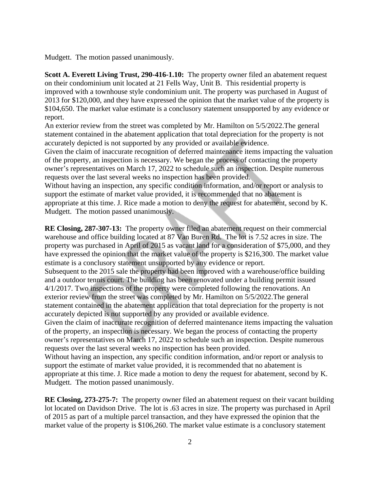Mudgett. The motion passed unanimously.

**Scott A. Everett Living Trust, 290-416-1.10:** The property owner filed an abatement request on their condominium unit located at 21 Fells Way, Unit B. This residential property is improved with a townhouse style condominium unit. The property was purchased in August of 2013 for \$120,000, and they have expressed the opinion that the market value of the property is \$104,650. The market value estimate is a conclusory statement unsupported by any evidence or report.

An exterior review from the street was completed by Mr. Hamilton on 5/5/2022.The general statement contained in the abatement application that total depreciation for the property is not accurately depicted is not supported by any provided or available evidence.

Given the claim of inaccurate recognition of deferred maintenance items impacting the valuation of the property, an inspection is necessary. We began the process of contacting the property owner's representatives on March 17, 2022 to schedule such an inspection. Despite numerous requests over the last several weeks no inspection has been provided.

Without having an inspection, any specific condition information, and/or report or analysis to support the estimate of market value provided, it is recommended that no abatement is appropriate at this time. J. Rice made a motion to deny the request for abatement, second by K. Mudgett. The motion passed unanimously.

**RE Closing, 287-307-13:** The property owner filed an abatement request on their commercial warehouse and office building located at 87 Van Buren Rd. The lot is 7.52 acres in size. The property was purchased in April of 2015 as vacant land for a consideration of \$75,000, and they have expressed the opinion that the market value of the property is \$216,300. The market value estimate is a conclusory statement unsupported by any evidence or report.

Subsequent to the 2015 sale the property had been improved with a warehouse/office building and a outdoor tennis court. The building has been renovated under a building permit issued 4/1/2017. Two inspections of the property were completed following the renovations. An exterior review from the street was completed by Mr. Hamilton on 5/5/2022.The general statement contained in the abatement application that total depreciation for the property is not accurately depicted is not supported by any provided or available evidence.

Given the claim of inaccurate recognition of deferred maintenance items impacting the valuation of the property, an inspection is necessary. We began the process of contacting the property owner's representatives on March 17, 2022 to schedule such an inspection. Despite numerous requests over the last several weeks no inspection has been provided.

Without having an inspection, any specific condition information, and/or report or analysis to support the estimate of market value provided, it is recommended that no abatement is appropriate at this time. J. Rice made a motion to deny the request for abatement, second by K. Mudgett. The motion passed unanimously.

**RE Closing, 273-275-7:** The property owner filed an abatement request on their vacant building lot located on Davidson Drive. The lot is .63 acres in size. The property was purchased in April of 2015 as part of a multiple parcel transaction, and they have expressed the opinion that the market value of the property is \$106,260. The market value estimate is a conclusory statement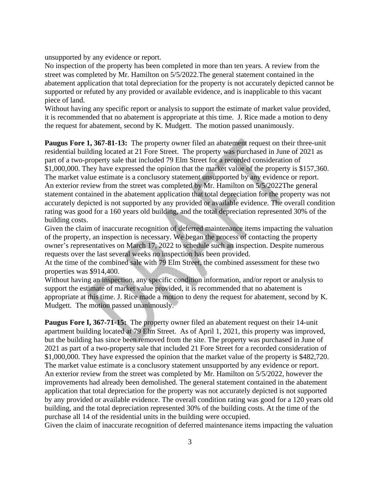unsupported by any evidence or report.

No inspection of the property has been completed in more than ten years. A review from the street was completed by Mr. Hamilton on 5/5/2022.The general statement contained in the abatement application that total depreciation for the property is not accurately depicted cannot be supported or refuted by any provided or available evidence, and is inapplicable to this vacant piece of land.

Without having any specific report or analysis to support the estimate of market value provided, it is recommended that no abatement is appropriate at this time. J. Rice made a motion to deny the request for abatement, second by K. Mudgett. The motion passed unanimously.

**Paugus Fore 1, 367-81-13:** The property owner filed an abatement request on their three-unit residential building located at 21 Fore Street. The property was purchased in June of 2021 as part of a two-property sale that included 79 Elm Street for a recorded consideration of \$1,000,000. They have expressed the opinion that the market value of the property is \$157,360. The market value estimate is a conclusory statement unsupported by any evidence or report. An exterior review from the street was completed by Mr. Hamilton on 5/5/2022The general statement contained in the abatement application that total depreciation for the property was not accurately depicted is not supported by any provided or available evidence. The overall condition rating was good for a 160 years old building, and the total depreciation represented 30% of the building costs.

Given the claim of inaccurate recognition of deferred maintenance items impacting the valuation of the property, an inspection is necessary. We began the process of contacting the property owner's representatives on March 17, 2022 to schedule such an inspection. Despite numerous requests over the last several weeks no inspection has been provided.

At the time of the combined sale with 79 Elm Street, the combined assessment for these two properties was \$914,400.

Without having an inspection, any specific condition information, and/or report or analysis to support the estimate of market value provided, it is recommended that no abatement is appropriate at this time. J. Rice made a motion to deny the request for abatement, second by K. Mudgett. The motion passed unanimously.

**Paugus Fore I, 367-71-15:** The property owner filed an abatement request on their 14-unit apartment building located at 79 Elm Street. As of April 1, 2021, this property was improved, but the building has since been removed from the site. The property was purchased in June of 2021 as part of a two-property sale that included 21 Fore Street for a recorded consideration of \$1,000,000. They have expressed the opinion that the market value of the property is \$482,720. The market value estimate is a conclusory statement unsupported by any evidence or report. An exterior review from the street was completed by Mr. Hamilton on 5/5/2022, however the improvements had already been demolished. The general statement contained in the abatement application that total depreciation for the property was not accurately depicted is not supported by any provided or available evidence. The overall condition rating was good for a 120 years old building, and the total depreciation represented 30% of the building costs. At the time of the purchase all 14 of the residential units in the building were occupied.

Given the claim of inaccurate recognition of deferred maintenance items impacting the valuation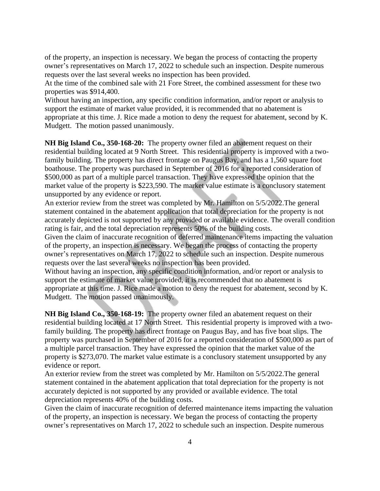of the property, an inspection is necessary. We began the process of contacting the property owner's representatives on March 17, 2022 to schedule such an inspection. Despite numerous requests over the last several weeks no inspection has been provided.

At the time of the combined sale with 21 Fore Street, the combined assessment for these two properties was \$914,400.

Without having an inspection, any specific condition information, and/or report or analysis to support the estimate of market value provided, it is recommended that no abatement is appropriate at this time. J. Rice made a motion to deny the request for abatement, second by K. Mudgett. The motion passed unanimously.

**NH Big Island Co., 350-168-20:** The property owner filed an abatement request on their residential building located at 9 North Street. This residential property is improved with a twofamily building. The property has direct frontage on Paugus Bay, and has a 1,560 square foot boathouse. The property was purchased in September of 2016 for a reported consideration of \$500,000 as part of a multiple parcel transaction. They have expressed the opinion that the market value of the property is \$223,590. The market value estimate is a conclusory statement unsupported by any evidence or report.

An exterior review from the street was completed by Mr. Hamilton on 5/5/2022.The general statement contained in the abatement application that total depreciation for the property is not accurately depicted is not supported by any provided or available evidence. The overall condition rating is fair, and the total depreciation represents 50% of the building costs.

Given the claim of inaccurate recognition of deferred maintenance items impacting the valuation of the property, an inspection is necessary. We began the process of contacting the property owner's representatives on March 17, 2022 to schedule such an inspection. Despite numerous requests over the last several weeks no inspection has been provided.

Without having an inspection, any specific condition information, and/or report or analysis to support the estimate of market value provided, it is recommended that no abatement is appropriate at this time. J. Rice made a motion to deny the request for abatement, second by K. Mudgett. The motion passed unanimously.

**NH Big Island Co., 350-168-19:** The property owner filed an abatement request on their residential building located at 17 North Street. This residential property is improved with a twofamily building. The property has direct frontage on Paugus Bay, and has five boat slips. The property was purchased in September of 2016 for a reported consideration of \$500,000 as part of a multiple parcel transaction. They have expressed the opinion that the market value of the property is \$273,070. The market value estimate is a conclusory statement unsupported by any evidence or report.

An exterior review from the street was completed by Mr. Hamilton on 5/5/2022.The general statement contained in the abatement application that total depreciation for the property is not accurately depicted is not supported by any provided or available evidence. The total depreciation represents 40% of the building costs.

Given the claim of inaccurate recognition of deferred maintenance items impacting the valuation of the property, an inspection is necessary. We began the process of contacting the property owner's representatives on March 17, 2022 to schedule such an inspection. Despite numerous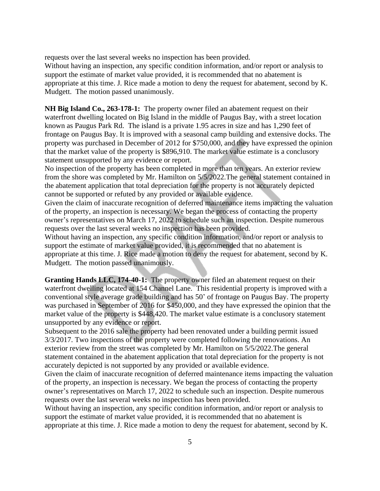requests over the last several weeks no inspection has been provided.

Without having an inspection, any specific condition information, and/or report or analysis to support the estimate of market value provided, it is recommended that no abatement is appropriate at this time. J. Rice made a motion to deny the request for abatement, second by K. Mudgett. The motion passed unanimously.

**NH Big Island Co., 263-178-1:** The property owner filed an abatement request on their waterfront dwelling located on Big Island in the middle of Paugus Bay, with a street location known as Paugus Park Rd. The island is a private 1.95 acres in size and has 1,290 feet of frontage on Paugus Bay. It is improved with a seasonal camp building and extensive docks. The property was purchased in December of 2012 for \$750,000, and they have expressed the opinion that the market value of the property is \$896,910. The market value estimate is a conclusory statement unsupported by any evidence or report.

No inspection of the property has been completed in more than ten years. An exterior review from the shore was completed by Mr. Hamilton on 5/5/2022.The general statement contained in the abatement application that total depreciation for the property is not accurately depicted cannot be supported or refuted by any provided or available evidence.

Given the claim of inaccurate recognition of deferred maintenance items impacting the valuation of the property, an inspection is necessary. We began the process of contacting the property owner's representatives on March 17, 2022 to schedule such an inspection. Despite numerous requests over the last several weeks no inspection has been provided.

Without having an inspection, any specific condition information, and/or report or analysis to support the estimate of market value provided, it is recommended that no abatement is appropriate at this time. J. Rice made a motion to deny the request for abatement, second by K. Mudgett. The motion passed unanimously.

**Granting Hands LLC, 174-40-1:** The property owner filed an abatement request on their waterfront dwelling located at 154 Channel Lane. This residential property is improved with a conventional style average grade building and has 50' of frontage on Paugus Bay. The property was purchased in September of 2016 for \$450,000, and they have expressed the opinion that the market value of the property is \$448,420. The market value estimate is a conclusory statement unsupported by any evidence or report.

Subsequent to the 2016 sale the property had been renovated under a building permit issued 3/3/2017. Two inspections of the property were completed following the renovations. An exterior review from the street was completed by Mr. Hamilton on 5/5/2022.The general statement contained in the abatement application that total depreciation for the property is not accurately depicted is not supported by any provided or available evidence.

Given the claim of inaccurate recognition of deferred maintenance items impacting the valuation of the property, an inspection is necessary. We began the process of contacting the property owner's representatives on March 17, 2022 to schedule such an inspection. Despite numerous requests over the last several weeks no inspection has been provided.

Without having an inspection, any specific condition information, and/or report or analysis to support the estimate of market value provided, it is recommended that no abatement is appropriate at this time. J. Rice made a motion to deny the request for abatement, second by K.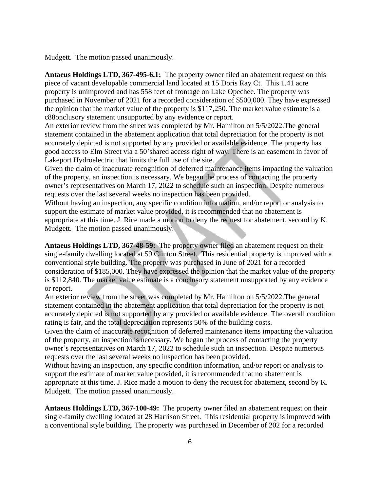Mudgett. The motion passed unanimously.

**Antaeus Holdings LTD, 367-495-6.1:** The property owner filed an abatement request on this piece of vacant developable commercial land located at 15 Doris Ray Ct. This 1.41 acre property is unimproved and has 558 feet of frontage on Lake Opechee. The property was purchased in November of 2021 for a recorded consideration of \$500,000. They have expressed the opinion that the market value of the property is \$117,250. The market value estimate is a c88onclusory statement unsupported by any evidence or report.

An exterior review from the street was completed by Mr. Hamilton on 5/5/2022.The general statement contained in the abatement application that total depreciation for the property is not accurately depicted is not supported by any provided or available evidence. The property has good access to Elm Street via a 50'shared access right of way. There is an easement in favor of Lakeport Hydroelectric that limits the full use of the site.

Given the claim of inaccurate recognition of deferred maintenance items impacting the valuation of the property, an inspection is necessary. We began the process of contacting the property owner's representatives on March 17, 2022 to schedule such an inspection. Despite numerous requests over the last several weeks no inspection has been provided.

Without having an inspection, any specific condition information, and/or report or analysis to support the estimate of market value provided, it is recommended that no abatement is appropriate at this time. J. Rice made a motion to deny the request for abatement, second by K. Mudgett. The motion passed unanimously.

**Antaeus Holdings LTD, 367-48-59:** The property owner filed an abatement request on their single-family dwelling located at 59 Clinton Street. This residential property is improved with a conventional style building. The property was purchased in June of 2021 for a recorded consideration of \$185,000. They have expressed the opinion that the market value of the property is \$112,840. The market value estimate is a conclusory statement unsupported by any evidence or report.

An exterior review from the street was completed by Mr. Hamilton on 5/5/2022.The general statement contained in the abatement application that total depreciation for the property is not accurately depicted is not supported by any provided or available evidence. The overall condition rating is fair, and the total depreciation represents 50% of the building costs.

Given the claim of inaccurate recognition of deferred maintenance items impacting the valuation of the property, an inspection is necessary. We began the process of contacting the property owner's representatives on March 17, 2022 to schedule such an inspection. Despite numerous requests over the last several weeks no inspection has been provided.

Without having an inspection, any specific condition information, and/or report or analysis to support the estimate of market value provided, it is recommended that no abatement is appropriate at this time. J. Rice made a motion to deny the request for abatement, second by K. Mudgett. The motion passed unanimously.

**Antaeus Holdings LTD, 367-100-49:** The property owner filed an abatement request on their single-family dwelling located at 28 Harrison Street. This residential property is improved with a conventional style building. The property was purchased in December of 202 for a recorded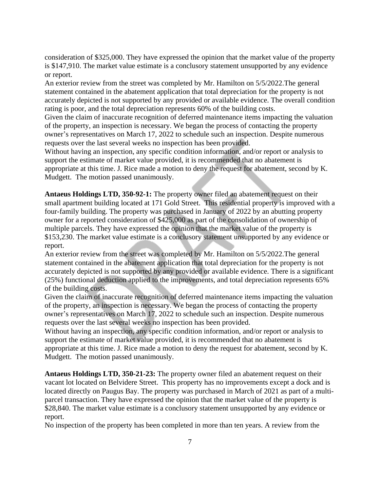consideration of \$325,000. They have expressed the opinion that the market value of the property is \$147,910. The market value estimate is a conclusory statement unsupported by any evidence or report.

An exterior review from the street was completed by Mr. Hamilton on 5/5/2022.The general statement contained in the abatement application that total depreciation for the property is not accurately depicted is not supported by any provided or available evidence. The overall condition rating is poor, and the total depreciation represents 60% of the building costs.

Given the claim of inaccurate recognition of deferred maintenance items impacting the valuation of the property, an inspection is necessary. We began the process of contacting the property owner's representatives on March 17, 2022 to schedule such an inspection. Despite numerous requests over the last several weeks no inspection has been provided.

Without having an inspection, any specific condition information, and/or report or analysis to support the estimate of market value provided, it is recommended that no abatement is appropriate at this time. J. Rice made a motion to deny the request for abatement, second by K. Mudgett. The motion passed unanimously.

**Antaeus Holdings LTD, 350-92-1:** The property owner filed an abatement request on their small apartment building located at 171 Gold Street. This residential property is improved with a four-family building. The property was purchased in January of 2022 by an abutting property owner for a reported consideration of \$425,000 as part of the consolidation of ownership of multiple parcels. They have expressed the opinion that the market value of the property is \$153,230. The market value estimate is a conclusory statement unsupported by any evidence or report.

An exterior review from the street was completed by Mr. Hamilton on 5/5/2022.The general statement contained in the abatement application that total depreciation for the property is not accurately depicted is not supported by any provided or available evidence. There is a significant (25%) functional deduction applied to the improvements, and total depreciation represents 65% of the building costs.

Given the claim of inaccurate recognition of deferred maintenance items impacting the valuation of the property, an inspection is necessary. We began the process of contacting the property owner's representatives on March 17, 2022 to schedule such an inspection. Despite numerous requests over the last several weeks no inspection has been provided.

Without having an inspection, any specific condition information, and/or report or analysis to support the estimate of market value provided, it is recommended that no abatement is appropriate at this time. J. Rice made a motion to deny the request for abatement, second by K. Mudgett. The motion passed unanimously.

**Antaeus Holdings LTD, 350-21-23:** The property owner filed an abatement request on their vacant lot located on Belvidere Street. This property has no improvements except a dock and is located directly on Paugus Bay. The property was purchased in March of 2021 as part of a multiparcel transaction. They have expressed the opinion that the market value of the property is \$28,840. The market value estimate is a conclusory statement unsupported by any evidence or report.

No inspection of the property has been completed in more than ten years. A review from the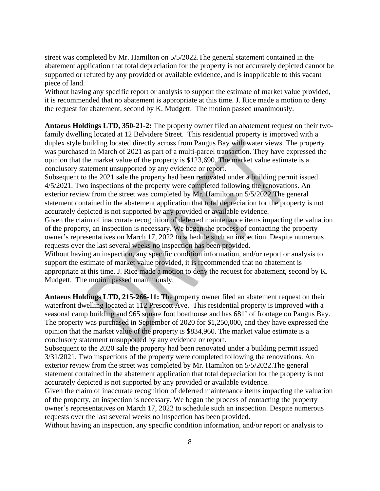street was completed by Mr. Hamilton on 5/5/2022.The general statement contained in the abatement application that total depreciation for the property is not accurately depicted cannot be supported or refuted by any provided or available evidence, and is inapplicable to this vacant piece of land.

Without having any specific report or analysis to support the estimate of market value provided, it is recommended that no abatement is appropriate at this time. J. Rice made a motion to deny the request for abatement, second by K. Mudgett. The motion passed unanimously.

**Antaeus Holdings LTD, 350-21-2:** The property owner filed an abatement request on their twofamily dwelling located at 12 Belvidere Street. This residential property is improved with a duplex style building located directly across from Paugus Bay with water views. The property was purchased in March of 2021 as part of a multi-parcel transaction. They have expressed the opinion that the market value of the property is \$123,690. The market value estimate is a conclusory statement unsupported by any evidence or report.

Subsequent to the 2021 sale the property had been renovated under a building permit issued 4/5/2021. Two inspections of the property were completed following the renovations. An exterior review from the street was completed by Mr. Hamilton on 5/5/2022.The general statement contained in the abatement application that total depreciation for the property is not accurately depicted is not supported by any provided or available evidence.

Given the claim of inaccurate recognition of deferred maintenance items impacting the valuation of the property, an inspection is necessary. We began the process of contacting the property owner's representatives on March 17, 2022 to schedule such an inspection. Despite numerous requests over the last several weeks no inspection has been provided.

Without having an inspection, any specific condition information, and/or report or analysis to support the estimate of market value provided, it is recommended that no abatement is appropriate at this time. J. Rice made a motion to deny the request for abatement, second by K. Mudgett. The motion passed unanimously.

**Antaeus Holdings LTD, 215-266-11:** The property owner filed an abatement request on their waterfront dwelling located at 112 Prescott Ave. This residential property is improved with a seasonal camp building and 965 square foot boathouse and has 681' of frontage on Paugus Bay. The property was purchased in September of 2020 for \$1,250,000, and they have expressed the opinion that the market value of the property is \$834,960. The market value estimate is a conclusory statement unsupported by any evidence or report.

Subsequent to the 2020 sale the property had been renovated under a building permit issued 3/31/2021. Two inspections of the property were completed following the renovations. An exterior review from the street was completed by Mr. Hamilton on 5/5/2022.The general statement contained in the abatement application that total depreciation for the property is not accurately depicted is not supported by any provided or available evidence.

Given the claim of inaccurate recognition of deferred maintenance items impacting the valuation of the property, an inspection is necessary. We began the process of contacting the property owner's representatives on March 17, 2022 to schedule such an inspection. Despite numerous requests over the last several weeks no inspection has been provided.

Without having an inspection, any specific condition information, and/or report or analysis to